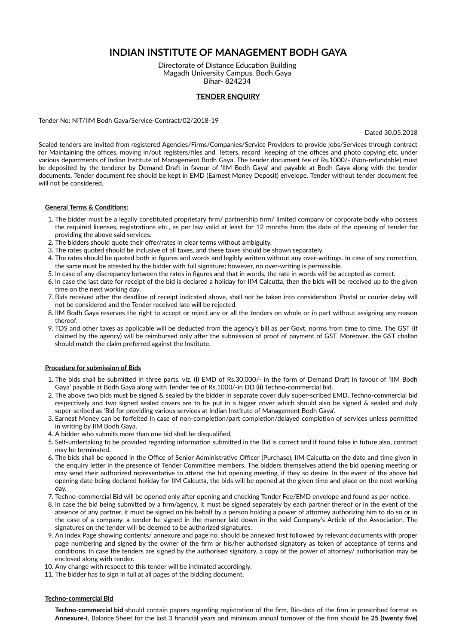# **INDIAN INSTITUTE OF MANAGEMENT BODH GAYA**

Directorate of Distance Education Building Magadh University Campus, Bodh Gaya Bihar- 824234

# **TENDER ENQUIRY**

Tender No: NIT/IIM Bodh Gaya/Service-Contract/02/2018-19

Dated 30.05.2018

Sealed tenders are invited from registered Agencies/Firms/Companies/Service Providers to provide jobs/Services through contract for Maintaining the offices, moving in/out registers/files and letters, record keeping of the offices and photo copying etc. under various departments of Indian Institute of Management Bodh Gaya. The tender document fee of Rs.1000/- (Non-refundable) must be deposited by the tenderer by Demand Draft in favour of 'IIM Bodh Gaya' and payable at Bodh Gaya along with the tender documents. Tender document fee should be kept in EMD (Earnest Money Deposit) envelope. Tender without tender document fee will not be considered.

### **General Terms & Condions:**

- 1. The bidder must be a legally constituted proprietary firm/ partnership firm/ limited company or corporate body who possess the required licenses, registrations etc., as per law valid at least for 12 months from the date of the opening of tender for providing the above said services.
- 2. The bidders should quote their offer/rates in clear terms without ambiguity.
- 3. The rates quoted should be inclusive of all taxes, and these taxes should be shown separately.
- 4. The rates should be quoted both in figures and words and legibly written without any over-writings. In case of any correction, the same must be attested by the bidder with full signature; however, no over-writing is permissible.
- 5. In case of any discrepancy between the rates in figures and that in words, the rate in words will be accepted as correct.
- 6. In case the last date for receipt of the bid is declared a holiday for IIM Calcutta, then the bids will be received up to the given time on the next working day.
- 7. Bids received after the deadline of receipt indicated above, shall not be taken into consideration. Postal or courier delay will not be considered and the Tender received late will be rejected.
- 8. IIM Bodh Gaya reserves the right to accept or reject any or all the tenders on whole or in part without assigning any reason thereof.
- 9. TDS and other taxes as applicable will be deducted from the agency's bill as per Govt. norms from time to time. The GST (if claimed by the agency) will be reimbursed only after the submission of proof of payment of GST. Moreover, the GST challan should match the claim preferred against the Institute.

## **Procedure for submission of Bids**

- 1. The bids shall be submitted in three parts, viz. (i) EMD of Rs.30,000/- in the form of Demand Draft in favour of 'IIM Bodh Gaya' payable at Bodh Gaya along with Tender fee of Rs.1000/-in DD (**ii)** Techno-commercial bid.
- 2. The above two bids must be signed & sealed by the bidder in separate cover duly super-scribed EMD, Techno-commercial bid respectively and two signed sealed covers are to be put in a bigger cover which should also be signed & sealed and duly super-scribed as 'Bid for providing various services at Indian Institute of Management Bodh Gaya'.
- 3. Earnest Money can be forfeited in case of non-completion/part completion/delayed completion of services unless permitted in writing by IIM Bodh Gaya.
- 4. A bidder who submits more than one bid shall be disqualified.
- 5. Self-undertaking to be provided regarding information submitted in the Bid is correct and if found false in future also, contract may be terminated.
- 6. The bids shall be opened in the Office of Senior Administrative Officer (Purchase), IIM Calcutta on the date and time given in the enquiry letter in the presence of Tender Committee members. The bidders themselves attend the bid opening meeting or may send their authorized representative to attend the bid opening meeting, if they so desire. In the event of the above bid opening date being declared holiday for IIM Calcutta, the bids will be opened at the given time and place on the next working day.
- 7. Techno-commercial Bid will be opened only after opening and checking Tender Fee/EMD envelope and found as per notice.
- 8. In case the bid being submitted by a firm/agency, it must be signed separately by each partner thereof or in the event of the absence of any partner, it must be signed on his behalf by a person holding a power of attorney authorizing him to do so or in the case of a company, a tender be signed in the manner laid down in the said Company's Article of the Association. The signatures on the tender will be deemed to be authorized signatures.
- 9. An Index Page showing contents/ annexure and page no. should be annexed first followed by relevant documents with proper page numbering and signed by the owner of the firm or his/her authorised signatory as token of acceptance of terms and conditions. In case the tenders are signed by the authorised signatory, a copy of the power of attorney/ authorisation may be enclosed along with tender.
- 10. Any change with respect to this tender will be intimated accordingly.
- 11. The bidder has to sign in full at all pages of the bidding document.

#### **Techno-commercial Bid**

Techno-commercial bid should contain papers regarding registration of the firm, Bio-data of the firm in prescribed format as **Annexure-I**, Balance Sheet for the last 3 financial years and minimum annual turnover of the firm should be 25 (twenty five)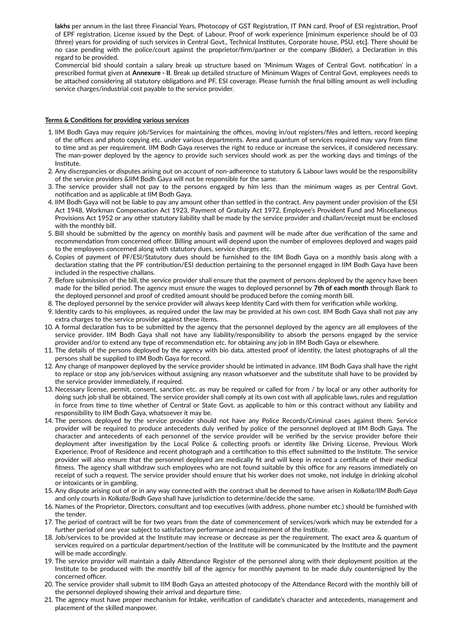lakhs per annum in the last three Financial Years, Photocopy of GST Registration, IT PAN card, Proof of ESI registration, Proof of EPF registration, License issued by the Dept. of Labour, Proof of work experience [minimum experience should be of 03 (three) years for providing of such services in Central Govt., Technical Instutes, Corporate house, PSU, etc**]**. There should be no case pending with the police/court against the proprietor/firm/partner or the company (Bidder), a Declaration in this regard to be provided.

Commercial bid should contain a salary break up structure based on 'Minimum Wages of Central Govt. notification' in a prescribed format given at **Annexure - II**. Break up detailed structure of Minimum Wages of Central Govt. employees needs to be attached considering all statutory obligations and PF, ESI coverage. Please furnish the final billing amount as well including service charges/industrial cost payable to the service provider.

#### **Terms & Condions for providing various services**

- 1. IIM Bodh Gaya may require job/Services for maintaining the offices, moving in/out registers/files and letters, record keeping of the offices and photo copying etc. under various departments. Area and quantum of services required may vary from time to me and as per requirement. IIM Bodh Gaya reserves the right to reduce or increase the services, if considered necessary. The man-power deployed by the agency to provide such services should work as per the working days and timings of the Institute.
- 2. Any discrepancies or disputes arising out on account of non-adherence to statutory & Labour laws would be the responsibility of the service providers &IIM Bodh Gaya will not be responsible for the same.
- 3. The service provider shall not pay to the persons engaged by him less than the minimum wages as per Central Govt. notification and as applicable at IIM Bodh Gaya.
- 4. IIM Bodh Gaya will not be liable to pay any amount other than settled in the contract. Any payment under provision of the ESI Act 1948, Workman Compensation Act 1923, Payment of Gratuity Act 1972, Employee's Provident Fund and Miscellaneous Provisions Act 1952 or any other statutory liability shall be made by the service provider and challan/receipt must be enclosed with the monthly bill.
- 5. Bill should be submitted by the agency on monthly basis and payment will be made after due verification of the same and recommendation from concerned officer. Billing amount will depend upon the number of employees deployed and wages paid to the employees concerned along with statutory dues, service charges etc.
- 6. Copies of payment of PF/ESI/Statutory dues should be furnished to the IIM Bodh Gaya on a monthly basis along with a declaration stating that the PF contribution/ESI deduction pertaining to the personnel engaged in IIM Bodh Gaya have been included in the respective challans.
- 7. Before submission of the bill, the service provider shall ensure that the payment of persons deployed by the agency have been made for the billed period. The agency must ensure the wages to deployed personnel by **7th of each month** through Bank to the deployed personnel and proof of credited amount should be produced before the coming month bill.
- 8. The deployed personnel by the service provider will always keep Identity Card with them for verification while working.
- 9. Identity cards to his employees, as required under the law may be provided at his own cost. IIM Bodh Gaya shall not pay any extra charges to the service provider against these items.
- 10. A formal declaration has to be submitted by the agency that the personnel deployed by the agency are all employees of the service provider. IIM Bodh Gaya shall not have any liability/responsibility to absorb the persons engaged by the service provider and/or to extend any type of recommendation etc. for obtaining any job in IIM Bodh Gaya or elsewhere.
- 11. The details of the persons deployed by the agency with bio data, attested proof of identity, the latest photographs of all the persons shall be supplied to IIM Bodh Gaya for record.
- 12. Any change of manpower deployed by the service provider should be inmated in advance. IIM Bodh Gaya shall have the right to replace or stop any job/services without assigning any reason whatsoever and the substitute shall have to be provided by the service provider immediately, if required.
- 13. Necessary license, permit, consent, sanction etc. as may be required or called for from / by local or any other authority for doing such job shall be obtained. The service provider shall comply at its own cost with all applicable laws, rules and regulation in force from time to time whether of Central or State Govt. as applicable to him or this contract without any liability and responsibility to IIM Bodh Gaya, whatsoever it may be.
- 14. The persons deployed by the service provider should not have any Police Records/Criminal cases against them. Service provider will be required to produce antecedents duly verified by police of the personnel deployed at IIM Bodh Gaya. The character and antecedents of each personnel of the service provider will be verified by the service provider before their deployment after investigation by the Local Police & collecting proofs or identity like Driving License, Previous Work Experience, Proof of Residence and recent photograph and a certification to this effect submitted to the Institute. The service provider will also ensure that the personnel deployed are medically fit and will keep in record a certificate of their medical fitness. The agency shall withdraw such employees who are not found suitable by this office for any reasons immediately on receipt of such a request. The service provider should ensure that his worker does not smoke, not indulge in drinking alcohol or intoxicants or in gambling.
- 15. Any dispute arising out of or in any way connected with the contract shall be deemed to have arisen in *Kolkata/IIM Bodh Gaya* and only courts in *Kolkata/Bodh Gaya* shall have jurisdiction to determine/decide the same.
- 16. Names of the Proprietor, Directors, consultant and top executives (with address, phone number etc.) should be furnished with the tender.
- 17. The period of contract will be for two years from the date of commencement of services/work which may be extended for a further period of one year subject to satisfactory performance and requirement of the Institute.
- 18. Job/services to be provided at the Institute may increase or decrease as per the requirement. The exact area & quantum of services required on a particular department/section of the Institute will be communicated by the Institute and the payment will be made accordingly.
- 19. The service provider will maintain a daily Attendance Register of the personnel along with their deployment position at the Institute to be produced with the monthly bill of the agency for monthly payment to be made duly countersigned by the concerned officer.
- 20. The service provider shall submit to IIM Bodh Gaya an attested photocopy of the Attendance Record with the monthly bill of the personnel deployed showing their arrival and departure time.
- 21. The agency must have proper mechanism for Intake, verification of candidate's character and antecedents, management and placement of the skilled manpower.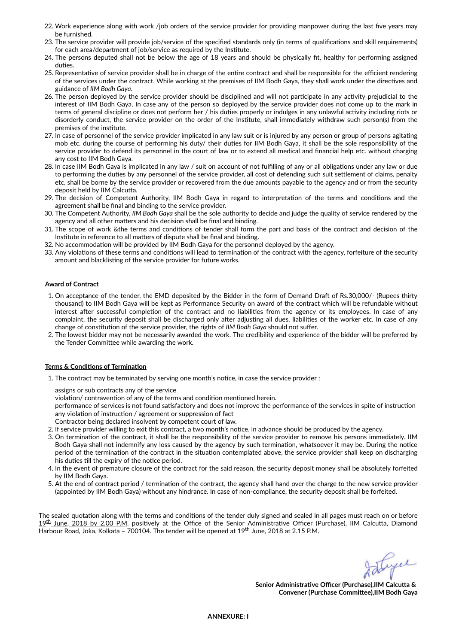- 22. Work experience along with work /job orders of the service provider for providing manpower during the last five years may be furnished.
- 23. The service provider will provide job/service of the specified standards only (in terms of qualifications and skill requirements) for each area/department of job/service as required by the Institute.
- 24. The persons deputed shall not be below the age of 18 years and should be physically fit, healthy for performing assigned duties
- 25. Representative of service provider shall be in charge of the entire contract and shall be responsible for the efficient rendering of the services under the contract. While working at the premises of IIM Bodh Gaya, they shall work under the directives and guidance of *IIM Bodh Gaya*.
- 26. The person deployed by the service provider should be disciplined and will not participate in any activity prejudicial to the interest of IIM Bodh Gaya. In case any of the person so deployed by the service provider does not come up to the mark in terms of general discipline or does not perform her / his duties properly or indulges in any unlawful activity including riots or disorderly conduct, the service provider on the order of the Institute, shall immediately withdraw such person(s) from the premises of the institute.
- 27. In case of personnel of the service provider implicated in any law suit or is injured by any person or group of persons agitating mob etc. during the course of performing his duty/ their duties for IIM Bodh Gaya, it shall be the sole responsibility of the service provider to defend its personnel in the court of law or to extend all medical and financial help etc. without charging any cost to IIM Bodh Gaya.
- 28. In case IIM Bodh Gaya is implicated in any law / suit on account of not fulfilling of any or all obligations under any law or due to performing the duties by any personnel of the service provider, all cost of defending such suit settlement of claims, penalty etc. shall be borne by the service provider or recovered from the due amounts payable to the agency and or from the security deposit held by IIM Calcutta.
- 29. The decision of Competent Authority, IIM Bodh Gaya in regard to interpretation of the terms and conditions and the agreement shall be final and binding to the service provider.
- 30. The Competent Authority, *IIM Bodh Gaya* shall be the sole authority to decide and judge the quality of service rendered by the agency and all other matters and his decision shall be final and binding.
- 31. The scope of work &the terms and conditions of tender shall form the part and basis of the contract and decision of the Institute in reference to all matters of dispute shall be final and binding.
- 32. No accommodation will be provided by IIM Bodh Gaya for the personnel deployed by the agency.
- 33. Any violations of these terms and conditions will lead to termination of the contract with the agency, forfeiture of the security amount and blacklisting of the service provider for future works.

# **Award of Contract**

- 1. On acceptance of the tender, the EMD deposited by the Bidder in the form of Demand Draft of Rs.30,000/- (Rupees thirty thousand) to IIM Bodh Gaya will be kept as Performance Security on award of the contract which will be refundable without interest after successful completion of the contract and no liabilities from the agency or its employees. In case of any complaint, the security deposit shall be discharged only after adjusting all dues, liabilities of the worker etc. In case of any change of constitution of the service provider, the rights of *IIM Bodh Gaya* should not suffer.
- 2. The lowest bidder may not be necessarily awarded the work. The credibility and experience of the bidder will be preferred by the Tender Committee while awarding the work.

## **Terms & Conditions of Termination**

1. The contract may be terminated by serving one month's notice, in case the service provider :

assigns or sub contracts any of the service

violation/ contravention of any of the terms and condition mentioned herein.

performance of services is not found satisfactory and does not improve the performance of the services in spite of instruction any violation of instruction / agreement or suppression of fact

- Contractor being declared insolvent by competent court of law.
- 2. If service provider willing to exit this contract, a two month's notice, in advance should be produced by the agency.
- 3. On termination of the contract, it shall be the responsibility of the service provider to remove his persons immediately. IIM Bodh Gaya shall not indemnify any loss caused by the agency by such termination, whatsoever it may be. During the notice period of the termination of the contract in the situation contemplated above, the service provider shall keep on discharging his duties till the expiry of the notice period.
- 4. In the event of premature closure of the contract for the said reason, the security deposit money shall be absolutely forfeited by IIM Bodh Gaya.
- 5. At the end of contract period / termination of the contract, the agency shall hand over the charge to the new service provider (appointed by IIM Bodh Gaya) without any hindrance. In case of non-compliance, the security deposit shall be forfeited.

The sealed quotation along with the terms and conditions of the tender duly signed and sealed in all pages must reach on or before 19th June, 2018 by 2.00 P.M. positively at the Office of the Senior Administrative Officer (Purchase), IIM Calcutta, Diamond Harbour Road, Joka, Kolkata – 700104. The tender will be opened at 19<sup>th</sup> June, 2018 at 2.15 P.M.

Lyce

**Senior Administrative Officer (Purchase), IIM Calcutta &**  $Convener$  *(Purchase Committee), IIM Bodh Gava*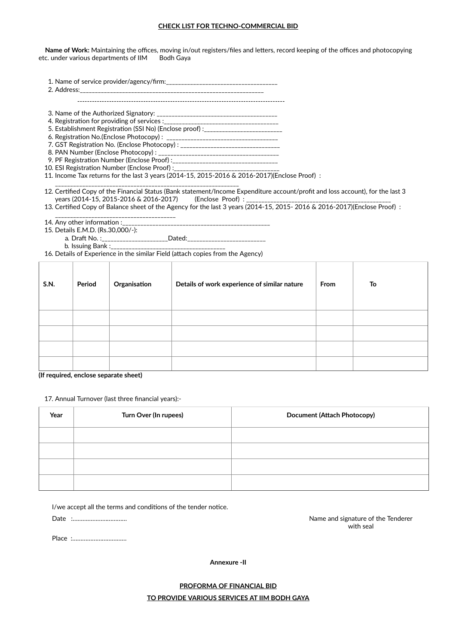## **CHECK LIST FOR TECHNO-COMMERCIAL BID**

Name of Work: Maintaining the offices, moving in/out registers/files and letters, record keeping of the offices and photocopying etc. under various departments of IIM Bodh Gaya

1. Name of service provider/agency/rm: \_\_\_\_\_\_\_\_\_\_\_\_\_\_\_\_\_\_\_\_\_\_\_\_\_\_\_\_\_\_\_\_\_\_\_\_\_

2. Address:

-------------------------------------------------------------------------------------

3. Name of the Authorized Signatory: \_\_\_\_\_\_\_\_\_\_\_\_\_\_\_\_\_\_\_\_\_\_\_\_\_\_\_\_\_\_\_\_\_\_\_\_\_\_\_\_

- 4. Registraon for providing of services :\_\_\_\_\_\_\_\_\_\_\_\_\_\_\_\_\_\_\_\_\_\_\_\_\_\_\_\_\_\_\_\_\_\_\_\_\_\_
- 5. Establishment Registration (SSI No) (Enclose proof) :\_\_\_\_\_\_\_\_\_\_\_\_\_\_\_\_\_\_\_\_\_\_\_\_
- 6. Registraon No.(Enclose Photocopy) : \_\_\_\_\_\_\_\_\_\_\_\_\_\_\_\_\_\_\_\_\_\_\_\_\_\_\_\_\_\_\_\_\_\_\_\_\_
- 7. GST Registraon No. (Enclose Photocopy) : \_\_\_\_\_\_\_\_\_\_\_\_\_\_\_\_\_\_\_\_\_\_\_\_\_\_\_\_\_\_\_\_\_ 8. PAN Number (Enclose Photocopy) : \_\_\_\_\_\_\_\_\_\_\_\_\_\_\_\_\_\_\_\_\_\_\_\_\_\_\_\_\_\_\_\_\_\_\_\_\_\_\_\_
- 9. PF Registraon Number (Enclose Proof) :\_\_\_\_\_\_\_\_\_\_\_\_\_\_\_\_\_\_\_\_\_\_\_\_\_\_\_\_\_\_\_\_\_\_\_
- 10. ESI Registration Number (Enclose Proof):

11. Income Tax returns for the last 3 years (2014-15, 2015-2016 & 2016-2017)(Enclose Proof) :

\_\_\_\_\_\_\_\_\_\_\_\_\_\_\_\_\_\_\_\_\_\_\_\_\_\_\_\_\_\_\_\_\_\_\_\_\_\_\_\_\_\_\_\_\_\_\_\_\_\_\_\_\_\_\_\_\_\_\_\_\_ 12. Certified Copy of the Financial Status (Bank statement/Income Expenditure account/profit and loss account), for the last 3 years (2014-15, 2015-2016 & 2016-2017) (Enclose Proof) :

13. Certified Copy of Balance sheet of the Agency for the last 3 years (2014-15, 2015- 2016 & 2016-2017)(Enclose Proof) :

\_\_\_\_\_\_\_\_\_\_\_\_\_\_\_\_\_\_\_\_\_\_\_\_\_\_\_\_\_\_\_\_\_\_\_\_\_\_\_\_ 14. Any other information :

15. Details E.M.D. (Rs.30,000/-):

- a. Draft No. :\_\_\_\_\_\_\_\_\_\_\_\_\_\_\_\_\_\_\_\_\_\_Dated:\_\_\_\_\_\_\_\_
	- b. Issuing Bank :\_\_\_\_\_\_\_\_\_\_\_\_\_\_\_\_\_\_\_\_\_\_\_\_\_\_\_\_\_\_\_\_\_\_\_\_\_\_

16. Details of Experience in the similar Field (attach copies from the Agency)

| <b>S.N.</b> | Period | Organisation | Details of work experience of similar nature | From | To |
|-------------|--------|--------------|----------------------------------------------|------|----|
|             |        |              |                                              |      |    |
|             |        |              |                                              |      |    |
|             |        |              |                                              |      |    |
|             |        |              |                                              |      |    |

**(If required, enclose separate sheet)**

17. Annual Turnover (last three financial years):-

| Year | Turn Over (In rupees) | Document (Attach Photocopy) |  |  |
|------|-----------------------|-----------------------------|--|--|
|      |                       |                             |  |  |
|      |                       |                             |  |  |
|      |                       |                             |  |  |
|      |                       |                             |  |  |

I/we accept all the terms and conditions of the tender notice.

Date :……………………………

Place :……………………………

Name and signature of the Tenderer with seal

**Annexure -II**

# **PROFORMA OF FINANCIAL BID**

**TO PROVIDE VARIOUS SERVICES AT IIM BODH GAYA**